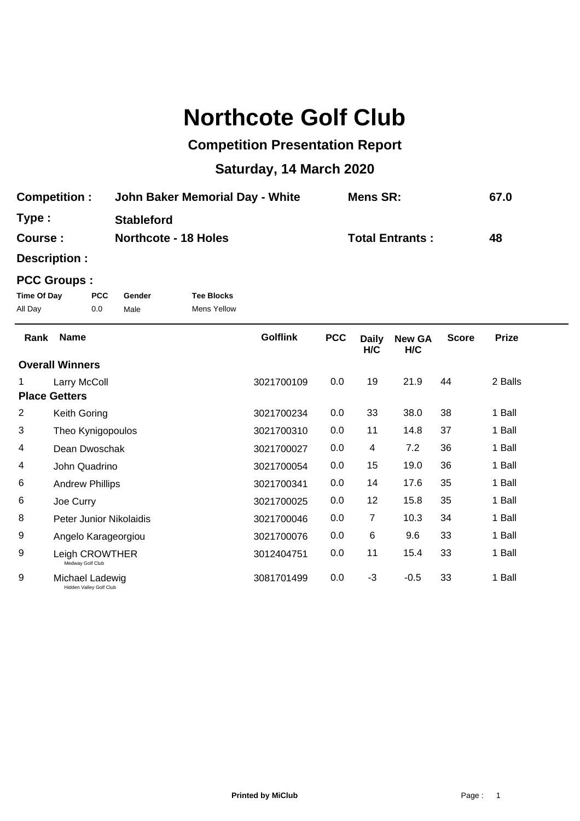## **Northcote Golf Club**

## **Competition Presentation Report**

## **Saturday, 14 March 2020**

| <b>Competition:</b> | John Baker Memorial Day - White | <b>Mens SR:</b>        | 67.0 |
|---------------------|---------------------------------|------------------------|------|
| Type :              | <b>Stableford</b>               |                        |      |
| <b>Course :</b>     | <b>Northcote - 18 Holes</b>     | <b>Total Entrants:</b> | 48   |

**Description :**

## **PCC Groups :**

| Time Of Day | <b>PCC</b> | Gender | <b>Tee Blocks</b> |
|-------------|------------|--------|-------------------|
| All Day     | 0.0        | Male   | Mens Yellow       |

| Rank | <b>Name</b>                                | <b>Golflink</b> | <b>PCC</b> | <b>Daily</b><br>H/C | <b>New GA</b><br>H/C | <b>Score</b> | <b>Prize</b> |  |
|------|--------------------------------------------|-----------------|------------|---------------------|----------------------|--------------|--------------|--|
|      | <b>Overall Winners</b>                     |                 |            |                     |                      |              |              |  |
|      | Larry McColl                               | 3021700109      | 0.0        | 19                  | 21.9                 | 44           | 2 Balls      |  |
|      | <b>Place Getters</b>                       |                 |            |                     |                      |              |              |  |
| 2    | Keith Goring                               | 3021700234      | 0.0        | 33                  | 38.0                 | 38           | 1 Ball       |  |
| 3    | Theo Kynigopoulos                          | 3021700310      | 0.0        | 11                  | 14.8                 | 37           | 1 Ball       |  |
| 4    | Dean Dwoschak                              | 3021700027      | 0.0        | 4                   | 7.2                  | 36           | 1 Ball       |  |
| 4    | John Quadrino                              | 3021700054      | 0.0        | 15                  | 19.0                 | 36           | 1 Ball       |  |
| 6    | <b>Andrew Phillips</b>                     | 3021700341      | 0.0        | 14                  | 17.6                 | 35           | 1 Ball       |  |
| 6    | Joe Curry                                  | 3021700025      | 0.0        | 12                  | 15.8                 | 35           | 1 Ball       |  |
| 8    | Peter Junior Nikolaidis                    | 3021700046      | 0.0        | 7                   | 10.3                 | 34           | 1 Ball       |  |
| 9    | Angelo Karageorgiou                        | 3021700076      | 0.0        | 6                   | 9.6                  | 33           | 1 Ball       |  |
| 9    | Leigh CROWTHER<br>Medway Golf Club         | 3012404751      | 0.0        | 11                  | 15.4                 | 33           | 1 Ball       |  |
| 9    | Michael Ladewig<br>Hidden Valley Golf Club | 3081701499      | 0.0        | $-3$                | $-0.5$               | 33           | 1 Ball       |  |